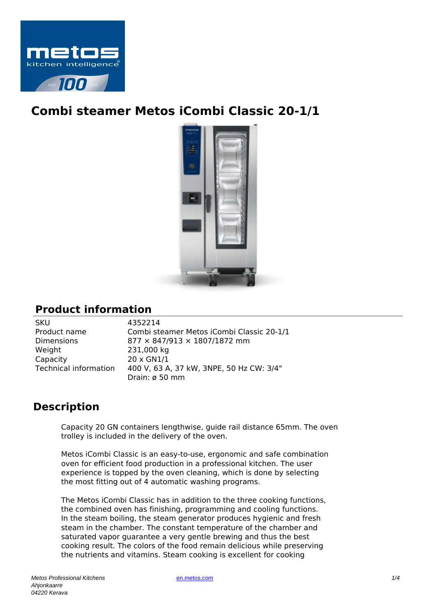

## **Combi steamer Metos iCombi Classic 20-1/1**



## **Product information**

| SKU                          |
|------------------------------|
| Product name                 |
| <b>Dimensions</b>            |
| Weight                       |
| Capacity                     |
| <b>Technical information</b> |
|                              |

4352214 Combi steamer Metos iCombi Classic 20-1/1  $877 \times 847/913 \times 1807/1872$  mm 231,000 kg 20 x GN1/1 400 V, 63 A, 37 kW, 3NPE, 50 Hz CW: 3/4" Drain: ø 50 mm

## **Description**

Capacity 20 GN containers lengthwise, guide rail distance 65mm. The oven trolley is included in the delivery of the oven.

Metos iCombi Classic is an easy-to-use, ergonomic and safe combination oven for efficient food production in a professional kitchen. The user experience is topped by the oven cleaning, which is done by selecting the most fitting out of 4 automatic washing programs.

The Metos iCombi Classic has in addition to the three cooking functions, the combined oven has finishing, programming and cooling functions. In the steam boiling, the steam generator produces hygienic and fresh steam in the chamber. The constant temperature of the chamber and saturated vapor guarantee a very gentle brewing and thus the best cooking result. The colors of the food remain delicious while preserving the nutrients and vitamins. Steam cooking is excellent for cooking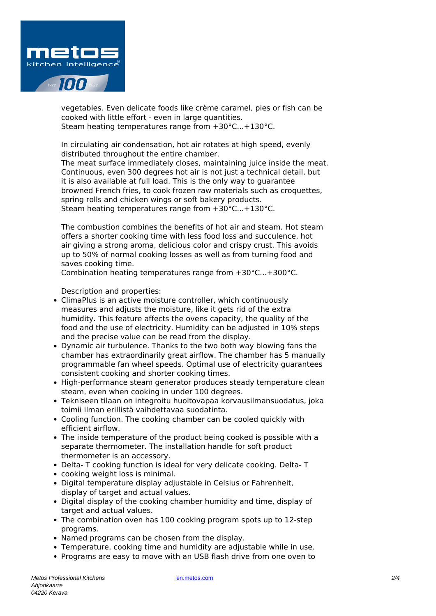

vegetables. Even delicate foods like crème caramel, pies or fish can be cooked with little effort - even in large quantities. Steam heating temperatures range from +30°C...+130°C.

In circulating air condensation, hot air rotates at high speed, evenly distributed throughout the entire chamber.

The meat surface immediately closes, maintaining juice inside the meat. Continuous, even 300 degrees hot air is not just a technical detail, but it is also available at full load. This is the only way to guarantee browned French fries, to cook frozen raw materials such as croquettes, spring rolls and chicken wings or soft bakery products. Steam heating temperatures range from +30°C...+130°C.

The combustion combines the benefits of hot air and steam. Hot steam offers a shorter cooking time with less food loss and succulence, hot air giving a strong aroma, delicious color and crispy crust. This avoids up to 50% of normal cooking losses as well as from turning food and saves cooking time.

Combination heating temperatures range from +30°C...+300°C.

Description and properties:

- ClimaPlus is an active moisture controller, which continuously measures and adjusts the moisture, like it gets rid of the extra humidity. This feature affects the ovens capacity, the quality of the food and the use of electricity. Humidity can be adjusted in 10% steps and the precise value can be read from the display.
- Dynamic air turbulence. Thanks to the two both way blowing fans the chamber has extraordinarily great airflow. The chamber has 5 manually programmable fan wheel speeds. Optimal use of electricity guarantees consistent cooking and shorter cooking times.
- High-performance steam generator produces steady temperature clean steam, even when cooking in under 100 degrees.
- Tekniseen tilaan on integroitu huoltovapaa korvausilmansuodatus, joka toimii ilman erillistä vaihdettavaa suodatinta.
- Cooling function. The cooking chamber can be cooled quickly with efficient airflow.
- The inside temperature of the product being cooked is possible with a separate thermometer. The installation handle for soft product thermometer is an accessory.
- Delta- T cooking function is ideal for very delicate cooking. Delta- T
- cooking weight loss is minimal.
- Digital temperature display adjustable in Celsius or Fahrenheit, display of target and actual values.
- Digital display of the cooking chamber humidity and time, display of target and actual values.
- The combination oven has 100 cooking program spots up to 12-step programs.
- Named programs can be chosen from the display.
- Temperature, cooking time and humidity are adjustable while in use.
- Programs are easy to move with an USB flash drive from one oven to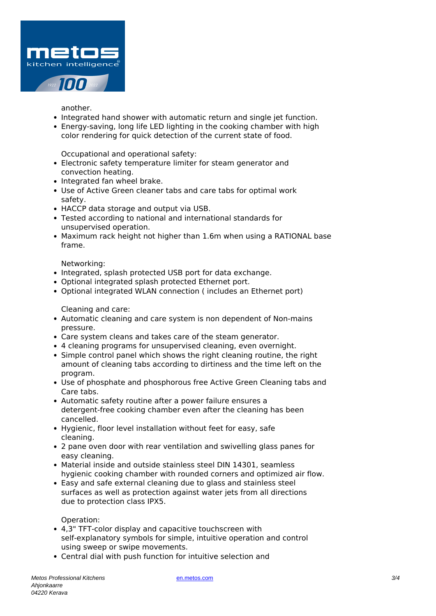

another.

- Integrated hand shower with automatic return and single jet function.
- Energy-saving, long life LED lighting in the cooking chamber with high color rendering for quick detection of the current state of food.

Occupational and operational safety:

- Electronic safety temperature limiter for steam generator and convection heating.
- Integrated fan wheel brake.
- Use of Active Green cleaner tabs and care tabs for optimal work safety.
- HACCP data storage and output via USB.
- Tested according to national and international standards for unsupervised operation.
- Maximum rack height not higher than 1.6m when using a RATIONAL base frame.

Networking:

- Integrated, splash protected USB port for data exchange.
- Optional integrated splash protected Ethernet port.
- Optional integrated WLAN connection ( includes an Ethernet port)

Cleaning and care:

- Automatic cleaning and care system is non dependent of Non-mains pressure.
- Care system cleans and takes care of the steam generator.
- 4 cleaning programs for unsupervised cleaning, even overnight.
- Simple control panel which shows the right cleaning routine, the right amount of cleaning tabs according to dirtiness and the time left on the program.
- Use of phosphate and phosphorous free Active Green Cleaning tabs and Care tabs.
- Automatic safety routine after a power failure ensures a detergent-free cooking chamber even after the cleaning has been cancelled.
- Hygienic, floor level installation without feet for easy, safe cleaning.
- 2 pane oven door with rear ventilation and swivelling glass panes for easy cleaning.
- Material inside and outside stainless steel DIN 14301, seamless hygienic cooking chamber with rounded corners and optimized air flow.
- Easy and safe external cleaning due to glass and stainless steel surfaces as well as protection against water jets from all directions due to protection class IPX5.

Operation:

- 4,3" TFT-color display and capacitive touchscreen with self-explanatory symbols for simple, intuitive operation and control using sweep or swipe movements.
- Central dial with push function for intuitive selection and